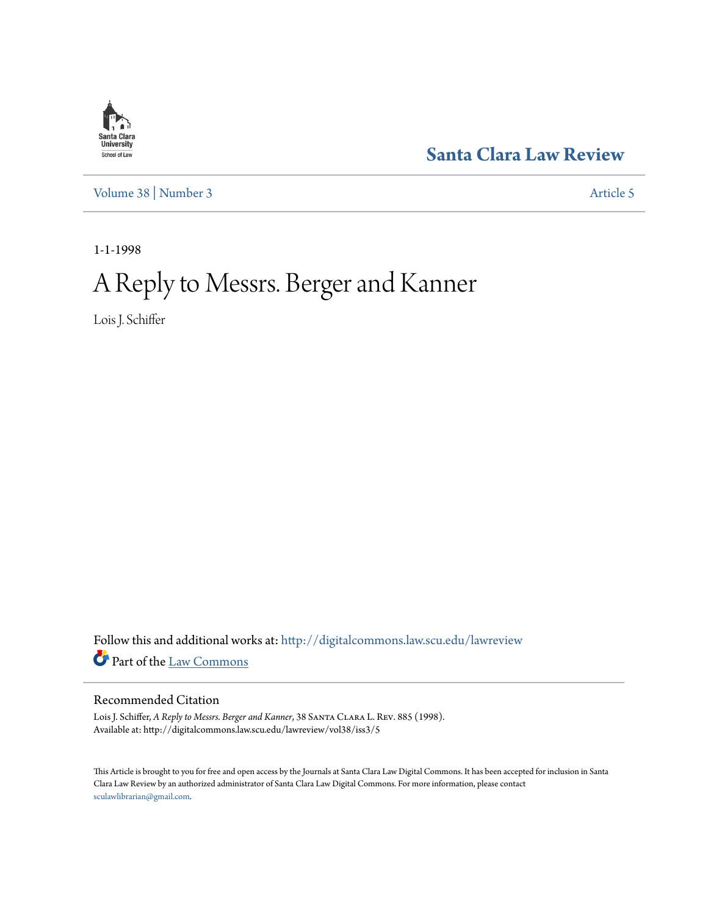

**[Santa Clara Law Review](http://digitalcommons.law.scu.edu/lawreview?utm_source=digitalcommons.law.scu.edu%2Flawreview%2Fvol38%2Fiss3%2F5&utm_medium=PDF&utm_campaign=PDFCoverPages)**

[Volume 38](http://digitalcommons.law.scu.edu/lawreview/vol38?utm_source=digitalcommons.law.scu.edu%2Flawreview%2Fvol38%2Fiss3%2F5&utm_medium=PDF&utm_campaign=PDFCoverPages) | [Number 3](http://digitalcommons.law.scu.edu/lawreview/vol38/iss3?utm_source=digitalcommons.law.scu.edu%2Flawreview%2Fvol38%2Fiss3%2F5&utm_medium=PDF&utm_campaign=PDFCoverPages) [Article 5](http://digitalcommons.law.scu.edu/lawreview/vol38/iss3/5?utm_source=digitalcommons.law.scu.edu%2Flawreview%2Fvol38%2Fiss3%2F5&utm_medium=PDF&utm_campaign=PDFCoverPages)

1-1-1998

## A Reply to Messrs. Berger and Kanner

Lois J. Schiffer

Follow this and additional works at: [http://digitalcommons.law.scu.edu/lawreview](http://digitalcommons.law.scu.edu/lawreview?utm_source=digitalcommons.law.scu.edu%2Flawreview%2Fvol38%2Fiss3%2F5&utm_medium=PDF&utm_campaign=PDFCoverPages) Part of the [Law Commons](http://network.bepress.com/hgg/discipline/578?utm_source=digitalcommons.law.scu.edu%2Flawreview%2Fvol38%2Fiss3%2F5&utm_medium=PDF&utm_campaign=PDFCoverPages)

## Recommended Citation

Lois J. Schiffer, *A Reply to Messrs. Berger and Kanner*, 38 Santa Clara L. Rev. 885 (1998). Available at: http://digitalcommons.law.scu.edu/lawreview/vol38/iss3/5

This Article is brought to you for free and open access by the Journals at Santa Clara Law Digital Commons. It has been accepted for inclusion in Santa Clara Law Review by an authorized administrator of Santa Clara Law Digital Commons. For more information, please contact [sculawlibrarian@gmail.com](mailto:sculawlibrarian@gmail.com).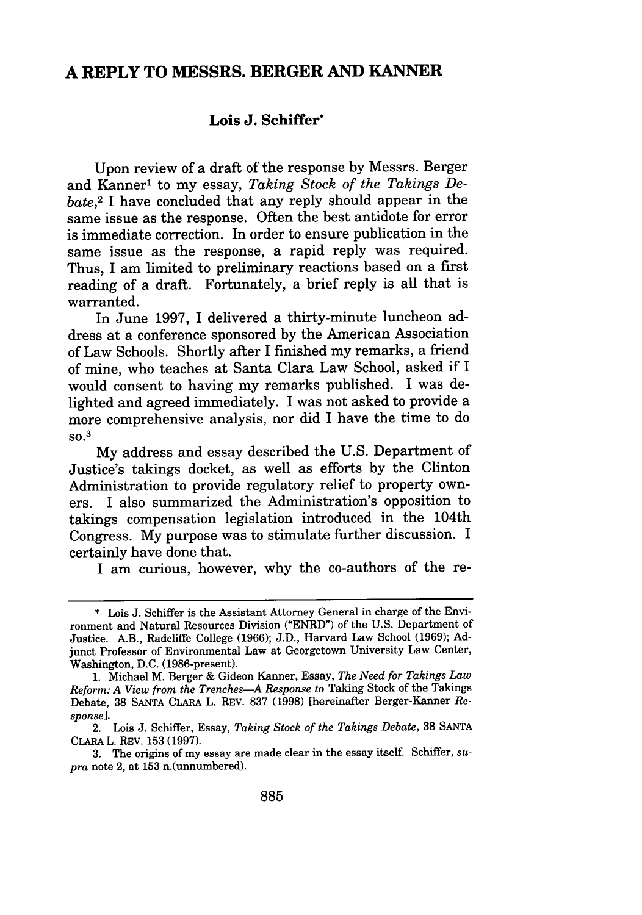## **A REPLY TO MESSRS. BERGER AND KANNER**

## **Lois J. Schiffer\***

Upon review of a draft of the response **by** Messrs. Berger and Kanner' to my essay, *Taking Stock of the Takings Debate,2* I have concluded that any reply should appear in the same issue as the response. Often the best antidote for error is immediate correction. In order to ensure publication in the same issue as the response, a rapid reply was required. Thus, I am limited to preliminary reactions based on a first reading of a draft. Fortunately, a brief reply is all that is warranted.

In June 1997, I delivered a thirty-minute luncheon address at a conference sponsored by the American Association of Law Schools. Shortly after I finished my remarks, a friend of mine, who teaches at Santa Clara Law School, asked if I would consent to having my remarks published. I was delighted and agreed immediately. I was not asked to provide a more comprehensive analysis, nor did I have the time to do **so. 3**

**My** address and essay described the **U.S.** Department of Justice's takings docket, as well as efforts **by** the Clinton Administration to provide regulatory relief to property owners. I also summarized the Administration's opposition to takings compensation legislation introduced in the 104th Congress. **My** purpose was to stimulate further discussion. I certainly have done that.

I am curious, however, why the co-authors of the re-

**<sup>\*</sup> Lois J.** Schiffer is the Assistant Attorney General in charge of the Environment and Natural Resources Division ("ENRD") of the **U.S.** Department of Justice. A.B., Radcliffe College **(1966); J.D.,** Harvard Law School **(1969); Ad**junct Professor of Environmental Law at Georgetown University Law Center, Washington, **D.C.** (1986-present).

**<sup>1.</sup>** Michael M. Berger & Gideon Kanner, Essay, *The Need for Takings Law Reform: A View from the Trenches-A Response to* Taking Stock of the Takings Debate, **38 SANTA CLARA** L. REV. **837 (1998)** [hereinafter Berger-Kanner *Response].*

<sup>2.</sup> Lois J. Schiffer, Essay, *Taking Stock of the Takings Debate,* 38 **SANTA** CLARA L. REV. 153 (1997).

<sup>3.</sup> The origins of my essay are made clear in the essay itself. Schiffer, *supra* note 2, at 153 n.(unnumbered).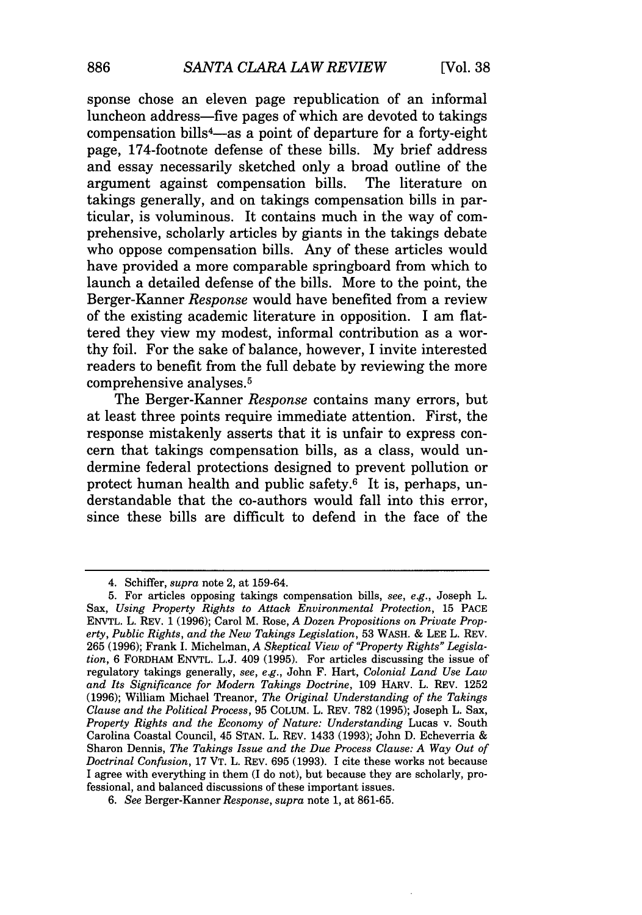sponse chose an eleven page republication of an informal luncheon address-five pages of which are devoted to takings compensation bills<sup>4</sup>-as a point of departure for a forty-eight page, 174-footnote defense of these bills. My brief address and essay necessarily sketched only a broad outline of the argument against compensation bills. The literature on argument against compensation bills. takings generally, and on takings compensation bills in particular, is voluminous. It contains much in the way of comprehensive, scholarly articles by giants in the takings debate who oppose compensation bills. Any of these articles would have provided a more comparable springboard from which to launch a detailed defense of the bills. More to the point, the Berger-Kanner *Response* would have benefited from a review of the existing academic literature in opposition. I am flattered they view my modest, informal contribution as a worthy foil. For the sake of balance, however, I invite interested readers to benefit from the full debate by reviewing the more comprehensive analyses. <sup>5</sup>

The Berger-Kanner *Response* contains many errors, but at least three points require immediate attention. First, the response mistakenly asserts that it is unfair to express concern that takings compensation bills, as a class, would undermine federal protections designed to prevent pollution or protect human health and public safety. 6 It is, perhaps, understandable that the co-authors would fall into this error, since these bills are difficult to defend in the face of the

<sup>4.</sup> Schiffer, *supra* note 2, at 159-64.

<sup>5.</sup> For articles opposing takings compensation bills, *see, e.g.,* Joseph L. Sax, *Using Property Rights to Attack Environmental Protection,* 15 **PACE** ENVTL. L. REV. 1 (1996); Carol M. Rose, *A Dozen Propositions on Private Property, Public Rights, and the New Takings Legislation,* 53 WASH. & LEE L. REV. 265 (1996); Frank I. Michelman, *A Skeptical View of "Property Rights" Legislation,* 6 FORDHAM ENVTL. L.J. 409 (1995). For articles discussing the issue of regulatory takings generally, *see, e.g.,* John F. Hart, *Colonial Land Use Law and Its Significance for Modern Takings Doctrine,* 109 HARV. L. REV. 1252 (1996); William Michael Treanor, *The Original Understanding of the Takings Clause and the Political Process,* 95 COLUM. L. REV. 782 (1995); Joseph L. Sax, *Property Rights and the Economy of Nature: Understanding* Lucas v. South Carolina Coastal Council, 45 STAN. L. REV. 1433 (1993); John D. Echeverria & Sharon Dennis, *The Takings Issue and the Due Process Clause: A Way Out of Doctrinal Confusion,* 17 VT. L. REV. 695 (1993). I cite these works not because I agree with everything in them (I do not), but because they are scholarly, professional, and balanced discussions of these important issues.

*<sup>6.</sup> See* Berger-Kanner *Response, supra* note 1, at 861-65.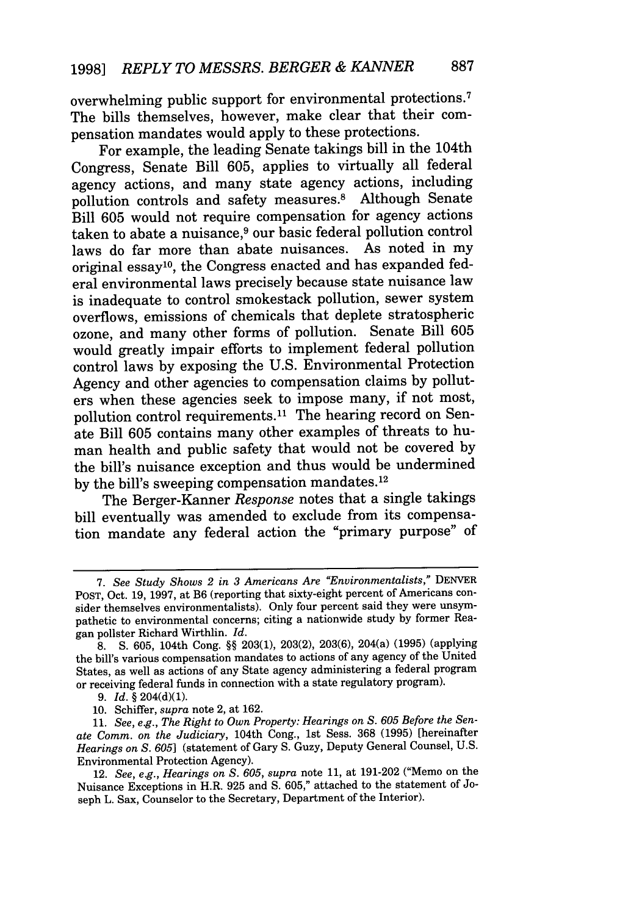overwhelming public support for environmental protections. <sup>7</sup> The bills themselves, however, make clear that their compensation mandates would apply to these protections.

For example, the leading Senate takings bill in the 104th Congress, Senate Bill 605, applies to virtually all federal agency actions, and many state agency actions, including pollution controls and safety measures.8 Although Senate Bill 605 would not require compensation for agency actions taken to abate a nuisance,<sup>9</sup> our basic federal pollution control laws do far more than abate nuisances. As noted in my original essay10 , the Congress enacted and has expanded federal environmental laws precisely because state nuisance law is inadequate to control smokestack pollution, sewer system overflows, emissions of chemicals that deplete stratospheric ozone, and many other forms of pollution. Senate Bill 605 would greatly impair efforts to implement federal pollution control laws by exposing the U.S. Environmental Protection Agency and other agencies to compensation claims by polluters when these agencies seek to impose many, if not most, pollution control requirements.<sup>11</sup> The hearing record on Senate Bill 605 contains many other examples of threats to human health and public safety that would not be covered by the bill's nuisance exception and thus would be undermined by the bill's sweeping compensation mandates.<sup>12</sup>

The Berger-Kanner *Response* notes that a single takings bill eventually was amended to exclude from its compensation mandate any federal action the "primary purpose" of

*<sup>7.</sup> See Study Shows 2 in 3 Americans Are "Environmentalists,"* DENVER POST, Oct. 19, 1997, at B6 (reporting that sixty-eight percent of Americans consider themselves environmentalists). Only four percent said they were unsympathetic to environmental concerns; citing a nationwide study by former Reagan pollster Richard Wirthlin. *Id.*

<sup>8.</sup> **S.** 605, 104th Cong. §§ 203(1), 203(2), 203(6), 204(a) (1995) (applying the bill's various compensation mandates to actions of any agency of the United States, as well as actions of any State agency administering a federal program or receiving federal funds in connection with a state regulatory program).

<sup>9.</sup> *Id.* § 204(d)(1).

<sup>10.</sup> Schiffer, *supra* note 2, at 162.

<sup>11.</sup> *See, e.g., The Right to Own Property: Hearings on* **S.** *605 Before the Senate Comm. on the Judiciary,* 104th Cong., 1st Sess. 368 (1995) [hereinafter *Hearings on* **S.** *605]* (statement of Gary S. Guzy, Deputy General Counsel, U.S. Environmental Protection Agency).

<sup>12.</sup> *See, e.g., Hearings on* **S.** *605, supra* note 11, at 191-202 ("Memo on the Nuisance Exceptions in H.R. 925 and S. 605," attached to the statement of Joseph L. Sax, Counselor to the Secretary, Department of the Interior).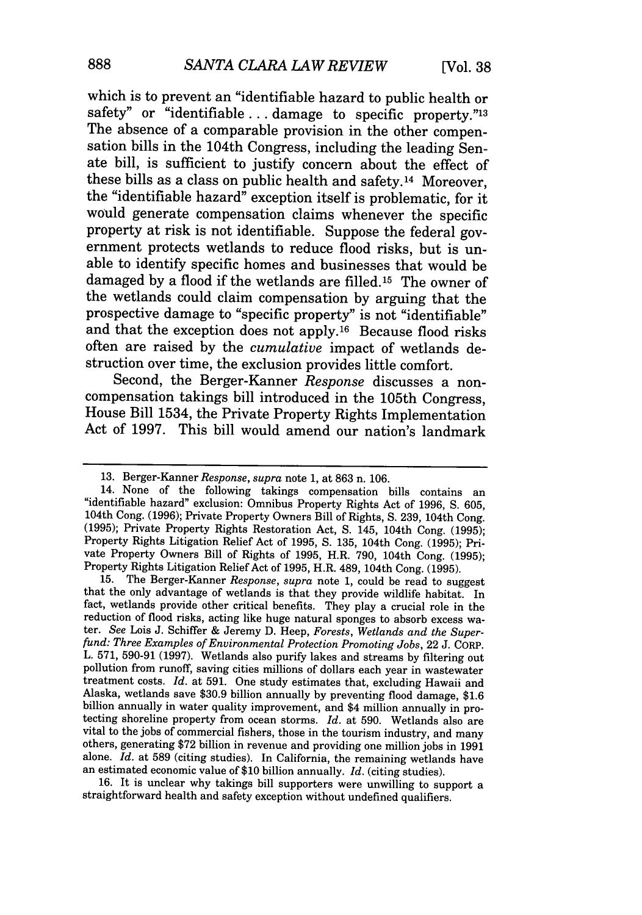which is to prevent an "identifiable hazard to public health or safety" or "identifiable ... damage to specific property."<sup>13</sup> The absence of a comparable provision in the other compensation bills in the 104th Congress, including the leading Senate bill, is sufficient to justify concern about the effect of these bills as a class on public health and safety. 14 Moreover, the "identifiable hazard" exception itself is problematic, for it would generate compensation claims whenever the specific property at risk is not identifiable. Suppose the federal government protects wetlands to reduce flood risks, but is unable to identify specific homes and businesses that would be damaged by a flood if the wetlands are filled. 15 The owner of the wetlands could claim compensation by arguing that the prospective damage to "specific property" is not "identifiable" and that the exception does not apply. 16 Because flood risks often are raised by the *cumulative* impact of wetlands destruction over time, the exclusion provides little comfort.

Second, the Berger-Kanner *Response* discusses a noncompensation takings bill introduced in the 105th Congress, House Bill 1534, the Private Property Rights Implementation Act of 1997. This bill would amend our nation's landmark

that the only advantage of wetlands is that they provide wildlife habitat. In fact, wetlands provide other critical benefits. They play a crucial role in the reduction of flood risks, acting like huge natural sponges to absorb excess water. See Lois J. Schiffer & Jeremy D. Heep, Forests, Wetlands and the Superfund: Three Examples of Environmental Protection Promoting Jobs, 22 J L. 571, 590-91 (1997). Wetlands also purify lakes and streams by filtering out pollution from runoff, saving cities millions of dollars each year in wastewater treatment costs. *Id.* at 591. One study estimates that, excluding Hawaii and Alaska, wetlands save \$30.9 billion annually by preventing flood damage, \$1.6 billion annually in water quality improvement, and \$4 million annually in protecting shoreline property from ocean storms. *Id.* at 590. Wetlan others, generating \$72 billion in revenue and providing one million jobs in 1991 alone. *Id.* at 589 (citing studies). In California, the remaining wetlands have an estimated economic value of \$10 billion annually. *Id.* (citing studies).

16. It is unclear why takings bill supporters were unwilling to support a straightforward health and safety exception without undefined qualifiers.

<sup>13.</sup> Berger-Kanner *Response, supra* note 1, at 863 n. 106. "identifiable hazard" exclusion: Omnibus Property Rights Act of 1996, S. 605, 104th Cong. (1996); Private Property Owners Bill of Rights, S. 239, 104th Cong. (1995); Private Property Rights Restoration Act, S. 145, 104th C vate Property Owners Bill of Rights of 1995, H.R. 790, 104th Cong. (1995);<br>Property Rights Litigation Relief Act of 1995, H.R. 489, 104th Cong. (1995).<br>15. The Berger-Kanner Response, supra note 1, could be read to suggest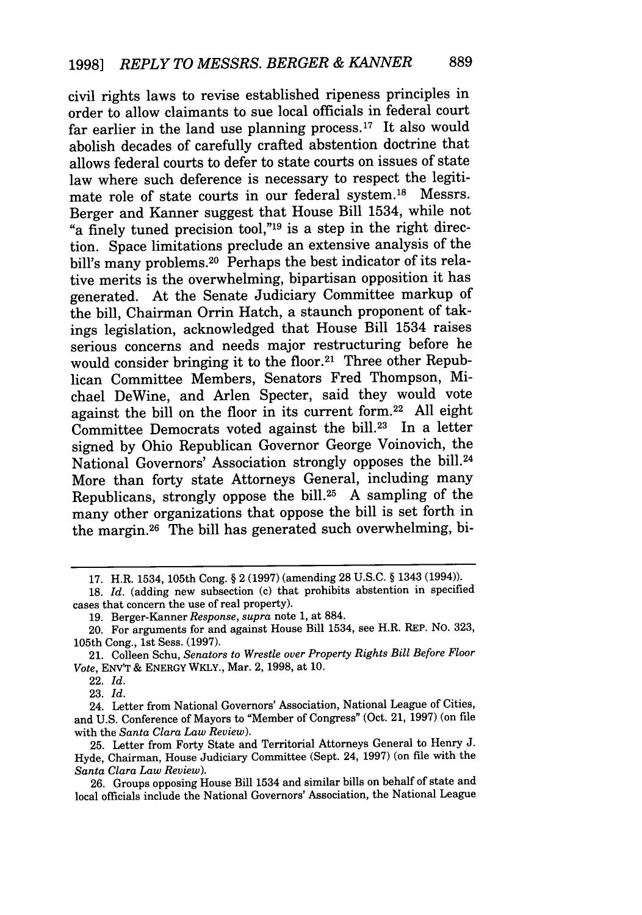civil rights laws to revise established ripeness principles in order to allow claimants to sue local officials in federal court far earlier in the land use planning process.<sup>17</sup> It also would abolish decades of carefully crafted abstention doctrine that allows federal courts to defer to state courts on issues of state law where such deference is necessary to respect the legitimate role of state courts in our federal system.18 Messrs. Berger and Kanner suggest that House Bill 1534, while not "a finely tuned precision tool,"19 is a step in the right direction. Space limitations preclude an extensive analysis of the bill's many problems.<sup>20</sup> Perhaps the best indicator of its relative merits is the overwhelming, bipartisan opposition it has generated. At the Senate Judiciary Committee markup of the bill, Chairman Orrin Hatch, a staunch proponent of takings legislation, acknowledged that House Bill 1534 raises serious concerns and needs major restructuring before he would consider bringing it to the floor.<sup>21</sup> Three other Republican Committee Members, Senators Fred Thompson, Michael DeWine, and Arlen Specter, said they would vote against the bill on the floor in its current form.22 All eight Committee Democrats voted against the bill.23 In a letter signed by Ohio Republican Governor George Voinovich, the National Governors' Association strongly opposes the bill.<sup>24</sup> More than forty state Attorneys General, including many Republicans, strongly oppose the bill.25 A sampling of the many other organizations that oppose the bill is set forth in the margin.26 The bill has generated such overwhelming, bi-

<sup>17.</sup> H.R. 1534, 105th Cong. § 2 (1997) (amending 28 U.S.C. § 1343 (1994)).

**<sup>18.</sup>** *Id.* (adding new subsection (c) that prohibits abstention in specified cases that concern the use of real property).

<sup>19.</sup> Berger-Kanner *Response, supra* note 1, at 884.

<sup>20.</sup> For arguments for and against House Bill 1534, see H.R. REP. NO. 323, 105th Cong., 1st Sess. (1997).

<sup>21.</sup> Colleen Schu, *Senators to Wrestle over Property Rights Bill Before Floor Vote,* ENV'T & ENERGY WKLY., Mar. 2, 1998, at 10.

<sup>22.</sup> *Id.*

<sup>23.</sup> *Id.*

<sup>24.</sup> Letter from National Governors' Association, National League of Cities, and U.S. Conference of Mayors to "Member of Congress" (Oct. 21, 1997) (on file with the *Santa Clara Law Review).*

<sup>25.</sup> Letter from Forty State and Territorial Attorneys General to Henry J. Hyde, Chairman, House Judiciary Committee (Sept. 24, 1997) (on file with the *Santa Clara Law Review).*

<sup>26.</sup> Groups opposing House Bill 1534 and similar bills on behalf of state and local officials include the National Governors' Association, the National League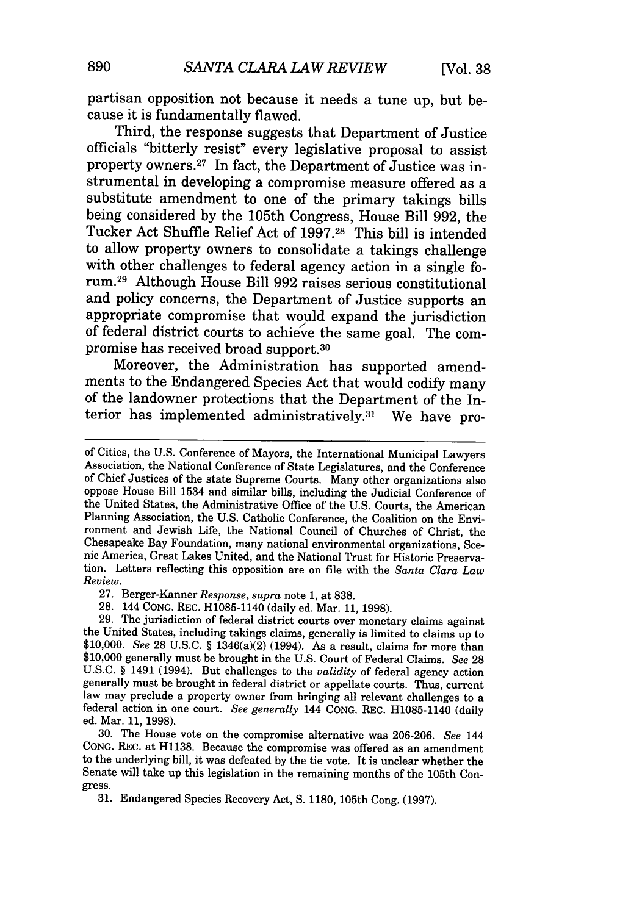partisan opposition not because it needs a tune up, but because it is fundamentally flawed.

Third, the response suggests that Department of Justice officials "bitterly resist" every legislative proposal to assist property owners. 27 In fact, the Department of Justice was instrumental in developing a compromise measure offered as a substitute amendment to one of the primary takings bills being considered by the 105th Congress, House Bill 992, the Tucker Act Shuffle Relief Act of 1997.28 This bill is intended to allow property owners to consolidate a takings challenge with other challenges to federal agency action in a single forum.29 Although House Bill 992 raises serious constitutional and policy concerns, the Department of Justice supports an appropriate compromise that would expand the jurisdiction of federal district courts to achieve the same goal. The compromise has received broad support. <sup>30</sup>

Moreover, the Administration has supported amendments to the Endangered Species Act that would codify many of the landowner protections that the Department of the Interior has implemented administratively.31 We have pro-

27. Berger-Kanner *Response, supra* note 1, at 838.

28. 144 CONG. REC. H1085-1140 (daily ed. Mar. 11, 1998). the United States, including takings claims, generally is limited to claims up to \$10,000. *See* 28 U.S.C. § 1346(a)(2) (1994). As a result, claims for more than \$10,000 generally must be brought in the U.S. Court of Federal Claims. *See* <sup>28</sup> U.S.C. § 1491 (1994). But challenges to the *validity* of federal agency action generally must be brought in federal district or appellate courts. Thus, current law may preclude a property owner from bringing all relevant challenges to a federal action in one court. *See generally* 144 CONG. REC. H1085-1140 (daily ed. Mar. 11, 1998).

30. The House vote on the compromise alternative was 206-206. *See* 144 CONG. REC. at H1138. Because the compromise was offered as an amendment to the underlying bill, it was defeated by the tie vote. It is unclear whether the Senate will take up this legislation in the remaining months of the 105th Congress.

31. Endangered Species Recovery Act, **S.** 1180, 105th Cong. (1997).

of Cities, the U.S. Conference of Mayors, the International Municipal Lawyers Association, the National Conference of State Legislatures, and the Conference of Chief Justices of the state Supreme Courts. Many other organizations also oppose House Bill 1534 and similar bills, including the Judicial Conference of the United States, the Administrative Office of the U.S. Courts, the American Planning Association, the U.S. Catholic Conference, the Coalition on the Environment and Jewish Life, the National Council of Churches of Christ, the Chesapeake Bay Foundation, many national environmental organizations, Scenic America, Great Lakes United, and the National Trust for Historic Preservation. Letters reflecting this opposition are on file with the *Santa Clara Law Review.*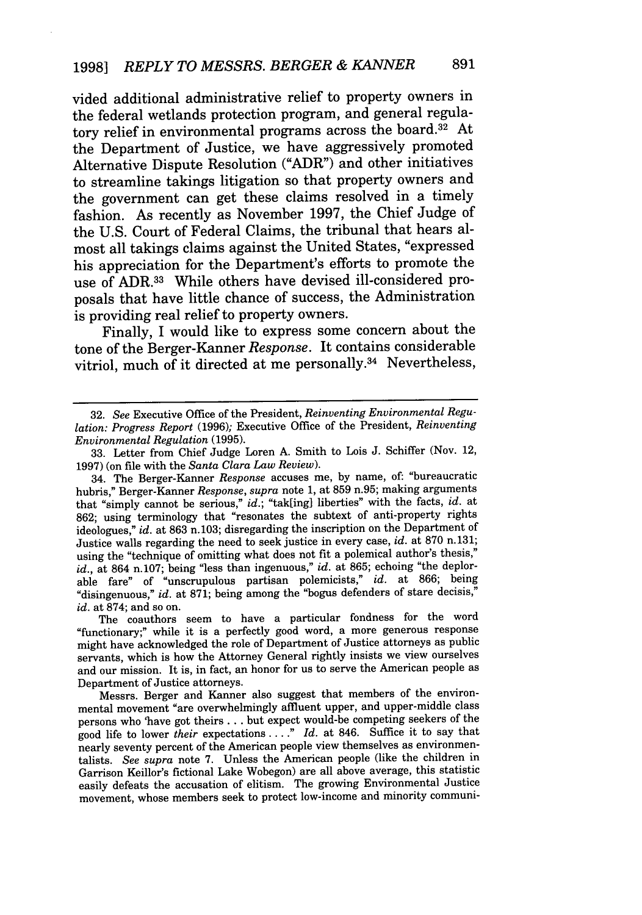vided additional administrative relief to property owners in the federal wetlands protection program, and general regulatory relief in environmental programs across the board. $32$  At the Department of Justice, we have aggressively promoted Alternative Dispute Resolution ("ADR") and other initiatives to streamline takings litigation so that property owners and the government can get these claims resolved in a timely fashion. As recently as November 1997, the Chief Judge of the U.S. Court of Federal Claims, the tribunal that hears almost all takings claims against the United States, "expressed his appreciation for the Department's efforts to promote the use of ADR.<sup>33</sup> While others have devised ill-considered proposals that have little chance of success, the Administration is providing real relief to property owners.

Finally, I would like to express some concern about the tone of the Berger-Kanner *Response.* It contains considerable vitriol, much of it directed at me personally.34 Nevertheless,

The coauthors seem to have a particular fondness for the word "functionary;" while it is a perfectly good word, a more generous response might have acknowledged the role of Department of Justice attorneys as public servants, which is how the Attorney General rightly insists we view ourselves and our mission. It is, in fact, an honor for us to serve the American people as Department of Justice attorneys.

Messrs. Berger and Kanner also suggest that members of the environmental movement "are overwhelmingly affluent upper, and upper-middle class persons who 'have got theirs **...** but expect would-be competing seekers of the good life to lower *their* expectations .... *Id.* at 846. Suffice it to say that nearly seventy percent of the American people view themselves as environmentalists. *See supra* note 7. Unless the American people (like the children in Garrison Keillor's fictional Lake Wobegon) are all above average, this statistic easily defeats the accusation of elitism. The growing Environmental Justice movement, whose members seek to protect low-income and minority communi-

<sup>32.</sup> *See* Executive Office of the President, *Reinventing Environmental Regulation: Progress Report* (1996); Executive Office of the President, *Reinventing Environmental Regulation* (1995).

<sup>33.</sup> Letter from Chief Judge Loren A. Smith to Lois J. Schiffer (Nov. 12, 1997) (on file with the *Santa Clara Law Review).*

<sup>34.</sup> The Berger-Kanner *Response* accuses me, by name, of: "bureaucratic hubris," Berger-Kanner *Response, supra* note 1, at 859 n.95; making arguments that "simply cannot be serious," *id.;* "tak[ing] liberties" with the facts, *id.* at 862; using terminology that "resonates the subtext of anti-property rights ideologues," *id.* at 863 n.103; disregarding the inscription on the Department of Justice walls regarding the need to seek justice in every case, *id.* at 870 n. 131; using the "technique of omitting what does not fit a polemical author's thesis," *id.,* at 864 n.107; being "less than ingenuous," *id.* at 865; echoing "the deplorable fare" of "unscrupulous partisan polemicists," *id.* at 866; being "disingenuous," *id.* at 871; being among the "bogus defenders of stare decisis," *id.* at 874; and so on.